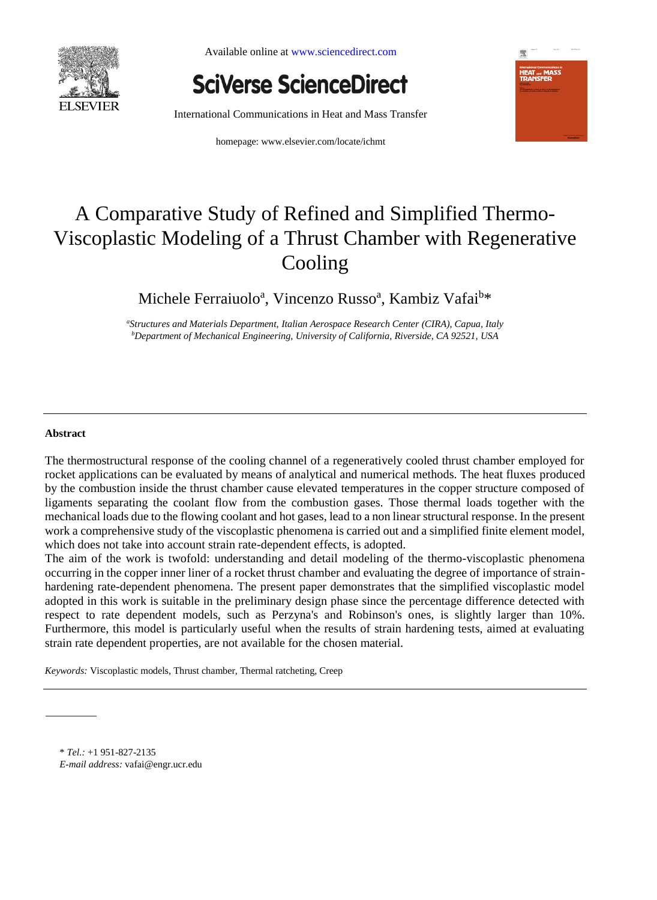

Available online at www.sciencedirect.com

**SciVerse ScienceDirect** 

International Communications in Heat and Mass Transfer

homepage: www.elsevier.com/locate/ichmt



# A Comparative Study of Refined and Simplified Thermo-Viscoplastic Modeling of a Thrust Chamber with Regenerative Cooling

Michele Ferraiuolo<sup>a</sup>, Vincenzo Russo<sup>a</sup>, Kambiz Vafai<sup>b\*</sup>

*<sup>a</sup>Structures and Materials Department, Italian Aerospace Research Center (CIRA), Capua, Italy <sup>b</sup>Department of Mechanical Engineering, University of California, Riverside, CA 92521, USA*

#### **Abstract**

The thermostructural response of the cooling channel of a regeneratively cooled thrust chamber employed for rocket applications can be evaluated by means of analytical and numerical methods. The heat fluxes produced by the combustion inside the thrust chamber cause elevated temperatures in the copper structure composed of ligaments separating the coolant flow from the combustion gases. Those thermal loads together with the mechanical loads due to the flowing coolant and hot gases, lead to a non linear structural response. In the present work a comprehensive study of the viscoplastic phenomena is carried out and a simplified finite element model, which does not take into account strain rate-dependent effects, is adopted.

The aim of the work is twofold: understanding and detail modeling of the thermo-viscoplastic phenomena occurring in the copper inner liner of a rocket thrust chamber and evaluating the degree of importance of strainhardening rate-dependent phenomena. The present paper demonstrates that the simplified viscoplastic model adopted in this work is suitable in the preliminary design phase since the percentage difference detected with respect to rate dependent models, such as Perzyna's and Robinson's ones, is slightly larger than 10%. Furthermore, this model is particularly useful when the results of strain hardening tests, aimed at evaluating strain rate dependent properties, are not available for the chosen material.

*Keywords:* Viscoplastic models, Thrust chamber, Thermal ratcheting, Creep

<sup>\*</sup> *Tel.:* +1 951-827-2135

*E-mail address:* vafai@engr.ucr.edu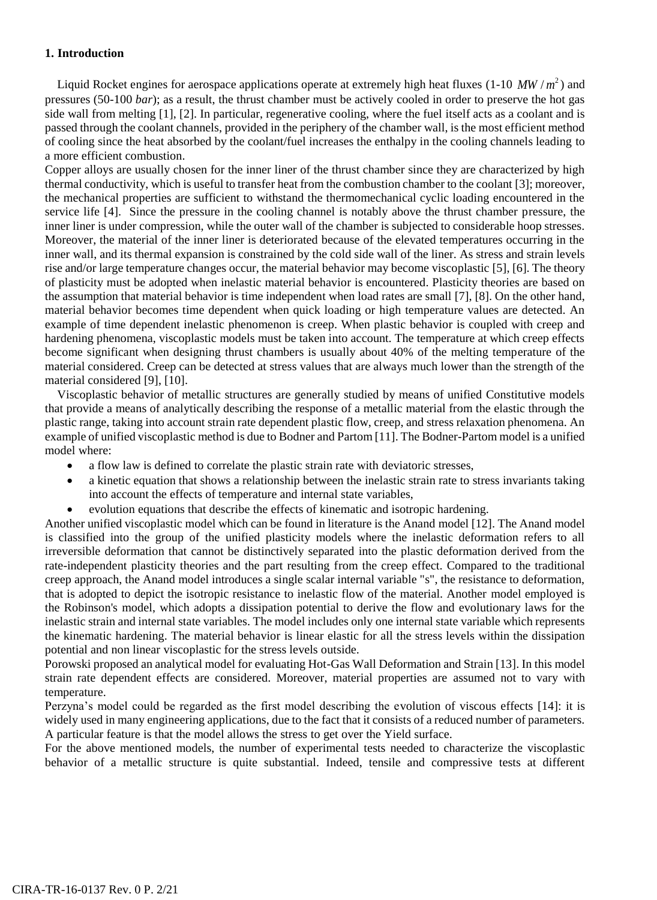## **1. Introduction**

Liquid Rocket engines for aerospace applications operate at extremely high heat fluxes  $(1\t{-}10 \, MW/m^2)$  and pressures (50-100 *bar*); as a result, the thrust chamber must be actively cooled in order to preserve the hot gas side wall from melting [1], [2]. In particular, regenerative cooling, where the fuel itself acts as a coolant and is passed through the coolant channels, provided in the periphery of the chamber wall, is the most efficient method of cooling since the heat absorbed by the coolant/fuel increases the enthalpy in the cooling channels leading to a more efficient combustion.

Copper alloys are usually chosen for the inner liner of the thrust chamber since they are characterized by high thermal conductivity, which is useful to transfer heat from the combustion chamber to the coolant [3]; moreover, the mechanical properties are sufficient to withstand the thermomechanical cyclic loading encountered in the service life [4]. Since the pressure in the cooling channel is notably above the thrust chamber pressure, the inner liner is under compression, while the outer wall of the chamber is subjected to considerable hoop stresses. Moreover, the material of the inner liner is deteriorated because of the elevated temperatures occurring in the inner wall, and its thermal expansion is constrained by the cold side wall of the liner. As stress and strain levels rise and/or large temperature changes occur, the material behavior may become viscoplastic [5], [6]. The theory of plasticity must be adopted when inelastic material behavior is encountered. Plasticity theories are based on the assumption that material behavior is time independent when load rates are small [7], [8]. On the other hand, material behavior becomes time dependent when quick loading or high temperature values are detected. An example of time dependent inelastic phenomenon is creep. When plastic behavior is coupled with creep and hardening phenomena, viscoplastic models must be taken into account. The temperature at which creep effects become significant when designing thrust chambers is usually about 40% of the melting temperature of the material considered. Creep can be detected at stress values that are always much lower than the strength of the material considered [9], [10].

 Viscoplastic behavior of metallic structures are generally studied by means of unified Constitutive models that provide a means of analytically describing the response of a metallic material from the elastic through the plastic range, taking into account strain rate dependent plastic flow, creep, and stress relaxation phenomena. An example of unified viscoplastic method is due to Bodner and Partom [11]. The Bodner-Partom model is a unified model where:

- a flow law is defined to correlate the plastic strain rate with deviatoric stresses,
- a kinetic equation that shows a relationship between the inelastic strain rate to stress invariants taking into account the effects of temperature and internal state variables,
- evolution equations that describe the effects of kinematic and isotropic hardening.

Another unified viscoplastic model which can be found in literature is the Anand model [12]. The Anand model is classified into the group of the unified plasticity models where the inelastic deformation refers to all irreversible deformation that cannot be distinctively separated into the plastic deformation derived from the rate-independent plasticity theories and the part resulting from the creep effect. Compared to the traditional creep approach, the Anand model introduces a single scalar internal variable "s", the resistance to deformation, that is adopted to depict the isotropic resistance to inelastic flow of the material. Another model employed is the Robinson's model, which adopts a dissipation potential to derive the flow and evolutionary laws for the inelastic strain and internal state variables. The model includes only one internal state variable which represents the kinematic hardening. The material behavior is linear elastic for all the stress levels within the dissipation potential and non linear viscoplastic for the stress levels outside.

Porowski proposed an analytical model for evaluating Hot-Gas Wall Deformation and Strain [13]. In this model strain rate dependent effects are considered. Moreover, material properties are assumed not to vary with temperature.

Perzyna's model could be regarded as the first model describing the evolution of viscous effects [14]: it is widely used in many engineering applications, due to the fact that it consists of a reduced number of parameters. A particular feature is that the model allows the stress to get over the Yield surface.

For the above mentioned models, the number of experimental tests needed to characterize the viscoplastic behavior of a metallic structure is quite substantial. Indeed, tensile and compressive tests at different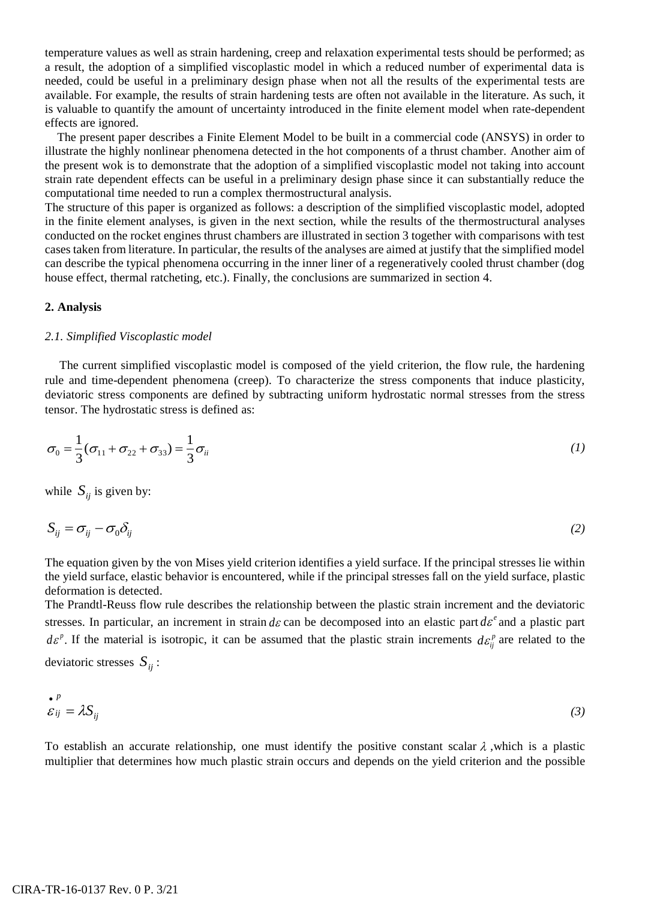temperature values as well as strain hardening, creep and relaxation experimental tests should be performed; as a result, the adoption of a simplified viscoplastic model in which a reduced number of experimental data is needed, could be useful in a preliminary design phase when not all the results of the experimental tests are available. For example, the results of strain hardening tests are often not available in the literature. As such, it is valuable to quantify the amount of uncertainty introduced in the finite element model when rate-dependent effects are ignored.

 The present paper describes a Finite Element Model to be built in a commercial code (ANSYS) in order to illustrate the highly nonlinear phenomena detected in the hot components of a thrust chamber. Another aim of the present wok is to demonstrate that the adoption of a simplified viscoplastic model not taking into account strain rate dependent effects can be useful in a preliminary design phase since it can substantially reduce the computational time needed to run a complex thermostructural analysis.

The structure of this paper is organized as follows: a description of the simplified viscoplastic model, adopted in the finite element analyses, is given in the next section, while the results of the thermostructural analyses conducted on the rocket engines thrust chambers are illustrated in section 3 together with comparisons with test cases taken from literature. In particular, the results of the analyses are aimed at justify that the simplified model can describe the typical phenomena occurring in the inner liner of a regeneratively cooled thrust chamber (dog house effect, thermal ratcheting, etc.). Finally, the conclusions are summarized in section 4.

#### **2. Analysis**

#### *2.1. Simplified Viscoplastic model*

The current simplified viscoplastic model is composed of the yield criterion, the flow rule, the hardening rule and time-dependent phenomena (creep). To characterize the stress components that induce plasticity, deviatoric stress components are defined by subtracting uniform hydrostatic normal stresses from the stress tensor. The hydrostatic stress is defined as:

$$
\sigma_0 = \frac{1}{3}(\sigma_{11} + \sigma_{22} + \sigma_{33}) = \frac{1}{3}\sigma_{ii}
$$
\n(1)

while  $S_{ij}$  is given by:

$$
S_{ij} = \sigma_{ij} - \sigma_0 \delta_{ij} \tag{2}
$$

The equation given by the von Mises yield criterion identifies a yield surface. If the principal stresses lie within the yield surface, elastic behavior is encountered, while if the principal stresses fall on the yield surface, plastic deformation is detected.

The Prandtl-Reuss flow rule describes the relationship between the plastic strain increment and the deviatoric stresses. In particular, an increment in strain  $d\varepsilon$  can be decomposed into an elastic part  $d\varepsilon^e$  and a plastic part  $d\varepsilon^p$ . If the material is isotropic, it can be assumed that the plastic strain increments  $d\varepsilon^p_{ij}$  are related to the deviatoric stresses *Sij* :

$$
\mathcal{E}_{ij} = \lambda S_{ij} \tag{3}
$$

To establish an accurate relationship, one must identify the positive constant scalar  $\lambda$ , which is a plastic multiplier that determines how much plastic strain occurs and depends on the yield criterion and the possible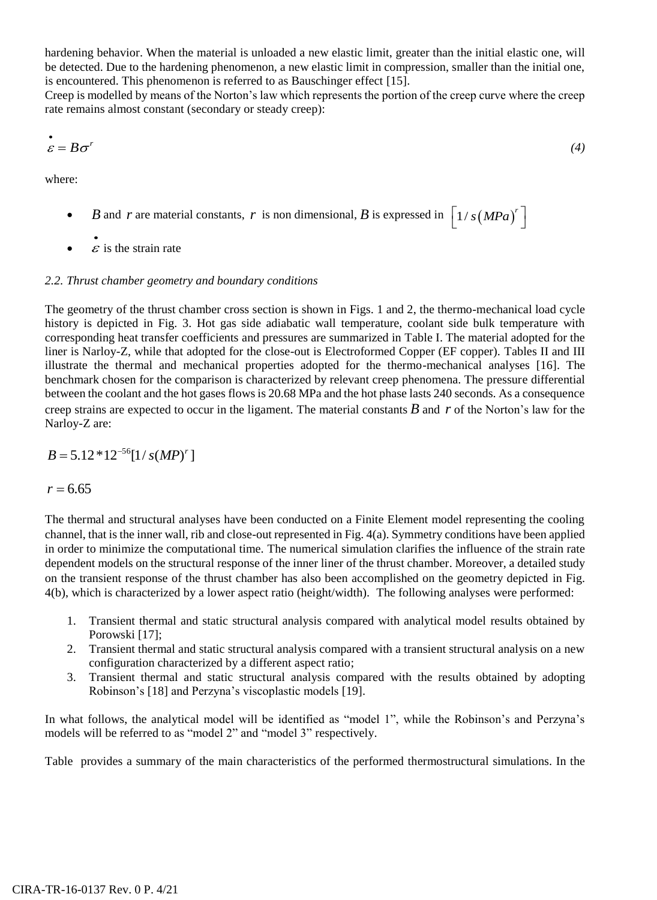hardening behavior. When the material is unloaded a new elastic limit, greater than the initial elastic one, will be detected. Due to the hardening phenomenon, a new elastic limit in compression, smaller than the initial one, is encountered. This phenomenon is referred to as Bauschinger effect [15].

Creep is modelled by means of the Norton's law which represents the portion of the creep curve where the creep rate remains almost constant (secondary or steady creep):

$$
\mathcal{E} = B\sigma^r \tag{4}
$$

where:

- *B* and *r* are material constants, *r* is non dimensional, *B* is expressed in  $\left[1/s(MPa)^{r}\right]$
- $\bullet$ .  $\varepsilon$  is the strain rate

# *2.2. Thrust chamber geometry and boundary conditions*

The geometry of the thrust chamber cross section is shown in Figs. 1 and 2, the thermo-mechanical load cycle history is depicted in Fig. 3. Hot gas side adiabatic wall temperature, coolant side bulk temperature with corresponding heat transfer coefficients and pressures are summarized in Table I. The material adopted for the liner is Narloy-Z, while that adopted for the close-out is Electroformed Copper (EF copper). Tables II and III illustrate the thermal and mechanical properties adopted for the thermo-mechanical analyses [16]. The benchmark chosen for the comparison is characterized by relevant creep phenomena. The pressure differential between the coolant and the hot gases flows is 20.68 MPa and the hot phase lasts 240 seconds. As a consequence creep strains are expected to occur in the ligament. The material constants *B* and *r* of the Norton's law for the Narloy-Z are:

$$
B = 5.12 * 12^{-56} [1 / s(MP)^r]
$$

 $r = 6.65$ 

The thermal and structural analyses have been conducted on a Finite Element model representing the cooling channel, that is the inner wall, rib and close-out represented in Fig. 4(a). Symmetry conditions have been applied in order to minimize the computational time. The numerical simulation clarifies the influence of the strain rate dependent models on the structural response of the inner liner of the thrust chamber. Moreover, a detailed study on the transient response of the thrust chamber has also been accomplished on the geometry depicted in Fig. 4(b), which is characterized by a lower aspect ratio (height/width). The following analyses were performed:

- 1. Transient thermal and static structural analysis compared with analytical model results obtained by Porowski [17];
- 2. Transient thermal and static structural analysis compared with a transient structural analysis on a new configuration characterized by a different aspect ratio;
- 3. Transient thermal and static structural analysis compared with the results obtained by adopting Robinson's [18] and Perzyna's viscoplastic models [19].

In what follows, the analytical model will be identified as "model 1", while the Robinson's and Perzyna's models will be referred to as "model 2" and "model 3" respectively.

Table provides a summary of the main characteristics of the performed thermostructural simulations. In the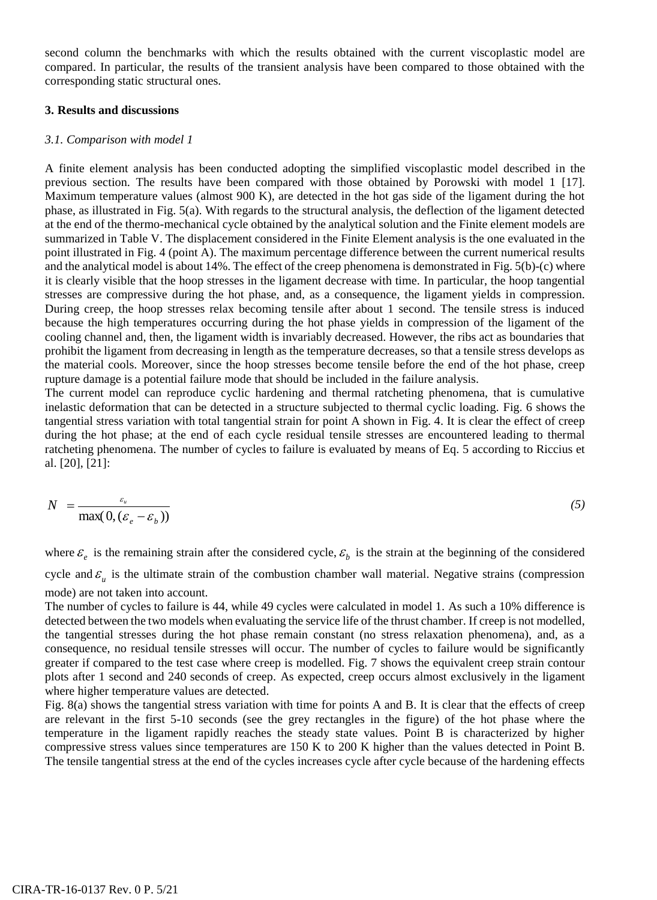second column the benchmarks with which the results obtained with the current viscoplastic model are compared. In particular, the results of the transient analysis have been compared to those obtained with the corresponding static structural ones.

## **3. Results and discussions**

## *3.1. Comparison with model 1*

A finite element analysis has been conducted adopting the simplified viscoplastic model described in the previous section. The results have been compared with those obtained by Porowski with model 1 [17]. Maximum temperature values (almost 900 K), are detected in the hot gas side of the ligament during the hot phase, as illustrated in Fig. 5(a). With regards to the structural analysis, the deflection of the ligament detected at the end of the thermo-mechanical cycle obtained by the analytical solution and the Finite element models are summarized in Table V. The displacement considered in the Finite Element analysis is the one evaluated in the point illustrated in Fig. 4 (point A). The maximum percentage difference between the current numerical results and the analytical model is about 14%. The effect of the creep phenomena is demonstrated in Fig. 5(b)-(c) where it is clearly visible that the hoop stresses in the ligament decrease with time. In particular, the hoop tangential stresses are compressive during the hot phase, and, as a consequence, the ligament yields in compression. During creep, the hoop stresses relax becoming tensile after about 1 second. The tensile stress is induced because the high temperatures occurring during the hot phase yields in compression of the ligament of the cooling channel and, then, the ligament width is invariably decreased. However, the ribs act as boundaries that prohibit the ligament from decreasing in length as the temperature decreases, so that a tensile stress develops as the material cools. Moreover, since the hoop stresses become tensile before the end of the hot phase, creep rupture damage is a potential failure mode that should be included in the failure analysis.

The current model can reproduce cyclic hardening and thermal ratcheting phenomena, that is cumulative inelastic deformation that can be detected in a structure subjected to thermal cyclic loading. Fig. 6 shows the tangential stress variation with total tangential strain for point A shown in Fig. 4. It is clear the effect of creep during the hot phase; at the end of each cycle residual tensile stresses are encountered leading to thermal ratcheting phenomena. The number of cycles to failure is evaluated by means of Eq. 5 according to Riccius et al. [20], [21]:

$$
N = \frac{\varepsilon_u}{\max(0, (\varepsilon_e - \varepsilon_b))}
$$
 (5)

where  $\varepsilon_e$  is the remaining strain after the considered cycle,  $\varepsilon_b$  is the strain at the beginning of the considered cycle and  $\varepsilon_u$  is the ultimate strain of the combustion chamber wall material. Negative strains (compression mode) are not taken into account.

The number of cycles to failure is 44, while 49 cycles were calculated in model 1. As such a 10% difference is detected between the two models when evaluating the service life of the thrust chamber. If creep is not modelled, the tangential stresses during the hot phase remain constant (no stress relaxation phenomena), and, as a consequence, no residual tensile stresses will occur. The number of cycles to failure would be significantly greater if compared to the test case where creep is modelled. Fig. 7 shows the equivalent creep strain contour plots after 1 second and 240 seconds of creep. As expected, creep occurs almost exclusively in the ligament where higher temperature values are detected.

Fig. 8(a) shows the tangential stress variation with time for points A and B. It is clear that the effects of creep are relevant in the first 5-10 seconds (see the grey rectangles in the figure) of the hot phase where the temperature in the ligament rapidly reaches the steady state values. Point B is characterized by higher compressive stress values since temperatures are 150 K to 200 K higher than the values detected in Point B. The tensile tangential stress at the end of the cycles increases cycle after cycle because of the hardening effects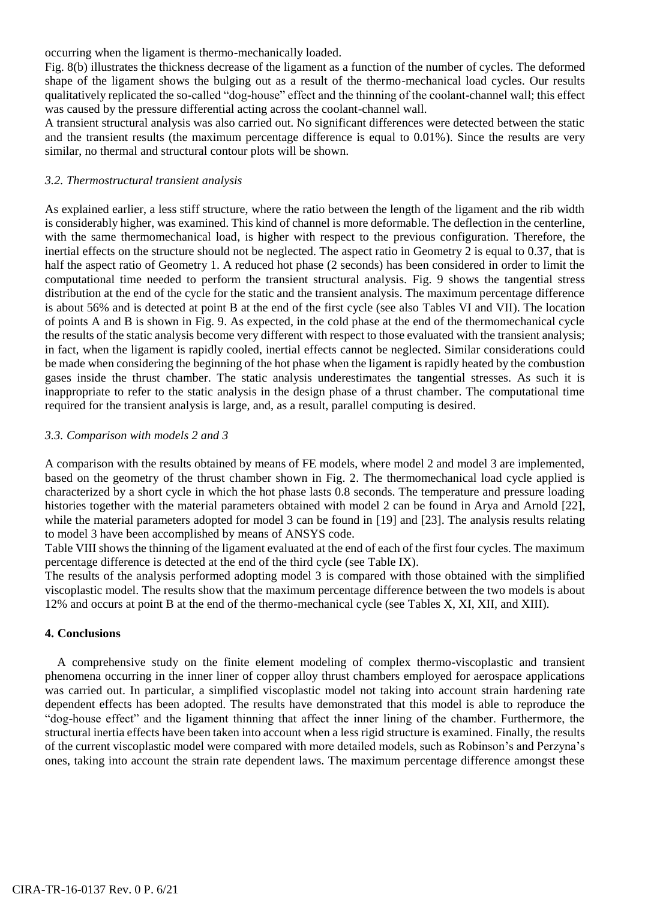occurring when the ligament is thermo-mechanically loaded.

Fig. 8(b) illustrates the thickness decrease of the ligament as a function of the number of cycles. The deformed shape of the ligament shows the bulging out as a result of the thermo-mechanical load cycles. Our results qualitatively replicated the so-called "dog-house" effect and the thinning of the coolant-channel wall; this effect was caused by the pressure differential acting across the coolant-channel wall.

A transient structural analysis was also carried out. No significant differences were detected between the static and the transient results (the maximum percentage difference is equal to 0.01%). Since the results are very similar, no thermal and structural contour plots will be shown.

#### *3.2. Thermostructural transient analysis*

As explained earlier, a less stiff structure, where the ratio between the length of the ligament and the rib width is considerably higher, was examined. This kind of channel is more deformable. The deflection in the centerline, with the same thermomechanical load, is higher with respect to the previous configuration. Therefore, the inertial effects on the structure should not be neglected. The aspect ratio in Geometry 2 is equal to 0.37, that is half the aspect ratio of Geometry 1. A reduced hot phase (2 seconds) has been considered in order to limit the computational time needed to perform the transient structural analysis. Fig. 9 shows the tangential stress distribution at the end of the cycle for the static and the transient analysis. The maximum percentage difference is about 56% and is detected at point B at the end of the first cycle (see also Tables VI and VII). The location of points A and B is shown in Fig. 9. As expected, in the cold phase at the end of the thermomechanical cycle the results of the static analysis become very different with respect to those evaluated with the transient analysis; in fact, when the ligament is rapidly cooled, inertial effects cannot be neglected. Similar considerations could be made when considering the beginning of the hot phase when the ligament is rapidly heated by the combustion gases inside the thrust chamber. The static analysis underestimates the tangential stresses. As such it is inappropriate to refer to the static analysis in the design phase of a thrust chamber. The computational time required for the transient analysis is large, and, as a result, parallel computing is desired.

#### *3.3. Comparison with models 2 and 3*

A comparison with the results obtained by means of FE models, where model 2 and model 3 are implemented, based on the geometry of the thrust chamber shown in Fig. 2. The thermomechanical load cycle applied is characterized by a short cycle in which the hot phase lasts 0.8 seconds. The temperature and pressure loading histories together with the material parameters obtained with model 2 can be found in Arya and Arnold [22], while the material parameters adopted for model 3 can be found in [19] and [23]. The analysis results relating to model 3 have been accomplished by means of ANSYS code.

Table VIII shows the thinning of the ligament evaluated at the end of each of the first four cycles. The maximum percentage difference is detected at the end of the third cycle (see Table IX).

The results of the analysis performed adopting model 3 is compared with those obtained with the simplified viscoplastic model. The results show that the maximum percentage difference between the two models is about 12% and occurs at point B at the end of the thermo-mechanical cycle (see Tables X, XI, XII, and XIII).

## **4. Conclusions**

 A comprehensive study on the finite element modeling of complex thermo-viscoplastic and transient phenomena occurring in the inner liner of copper alloy thrust chambers employed for aerospace applications was carried out. In particular, a simplified viscoplastic model not taking into account strain hardening rate dependent effects has been adopted. The results have demonstrated that this model is able to reproduce the "dog-house effect" and the ligament thinning that affect the inner lining of the chamber. Furthermore, the structural inertia effects have been taken into account when a less rigid structure is examined. Finally, the results of the current viscoplastic model were compared with more detailed models, such as Robinson's and Perzyna's ones, taking into account the strain rate dependent laws. The maximum percentage difference amongst these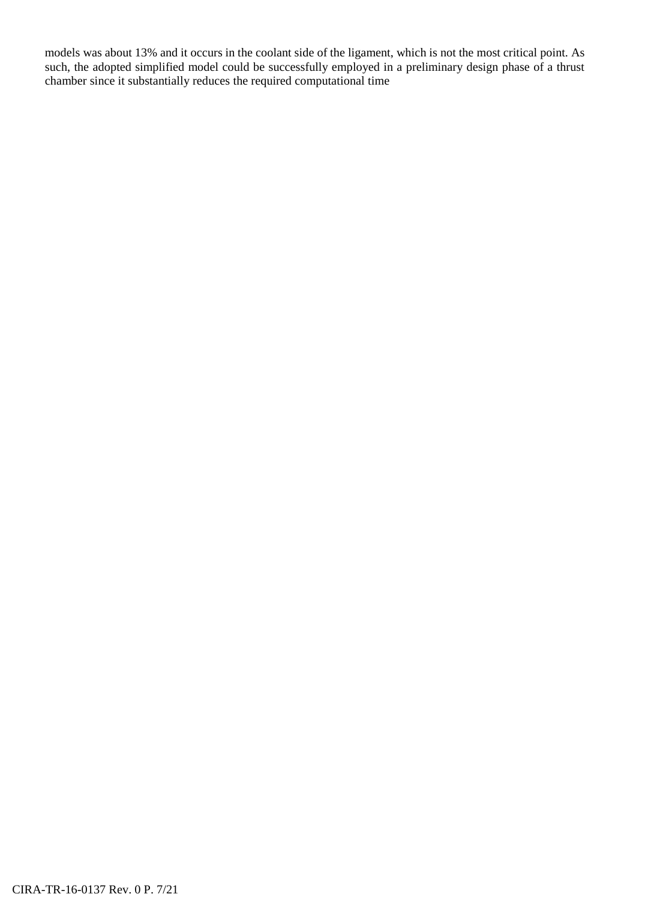models was about 13% and it occurs in the coolant side of the ligament, which is not the most critical point. As such, the adopted simplified model could be successfully employed in a preliminary design phase of a thrust chamber since it substantially reduces the required computational time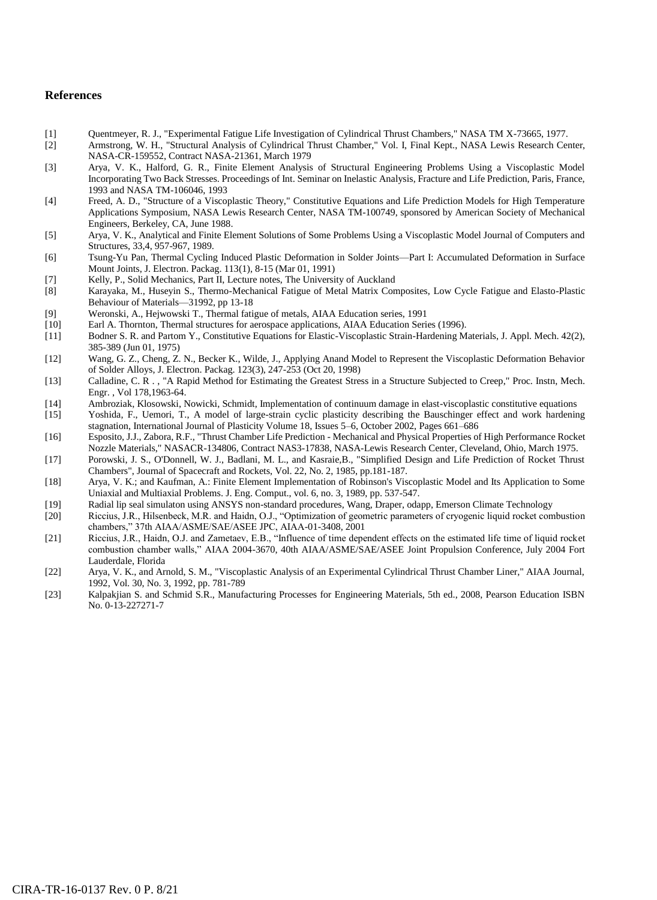#### **References**

- [1] Quentmeyer, R. J., "Experimental Fatigue Life Investigation of Cylindrical Thrust Chambers," NASA TM X-73665, 1977.
- [2] Armstrong, W. H., "Structural Analysis of Cylindrical Thrust Chamber," Vol. I, Final Kept., NASA Lewis Research Center, NASA-CR-159552, Contract NASA-21361, March 1979
- [3] Arya, V. K., Halford, G. R., Finite Element Analysis of Structural Engineering Problems Using a Viscoplastic Model Incorporating Two Back Stresses. Proceedings of Int. Seminar on Inelastic Analysis, Fracture and Life Prediction, Paris, France, 1993 and NASA TM-106046, 1993
- [4] Freed, A. D., "Structure of a Viscoplastic Theory," Constitutive Equations and Life Prediction Models for High Temperature Applications Symposium, NASA Lewis Research Center, NASA TM-100749, sponsored by American Society of Mechanical Engineers, Berkeley, CA, June 1988.
- [5] Arya, V. K., Analytical and Finite Element Solutions of Some Problems Using a Viscoplastic Model Journal of Computers and Structures, 33,4, 957-967, 1989.
- [6] Tsung-Yu Pan, Thermal Cycling Induced Plastic Deformation in Solder Joints—Part I: Accumulated Deformation in Surface Mount Joints, J. Electron. Packag. 113(1), 8-15 (Mar 01, 1991)
- [7] Kelly, P., Solid Mechanics, Part II, Lecture notes, The University of Auckland
- [8] Karayaka, M., Huseyin S., Thermo-Mechanical Fatigue of Metal Matrix Composites, Low Cycle Fatigue and Elasto-Plastic Behaviour of Materials—31992, pp 13-18
- [9] Weronski, A., Hejwowski T., Thermal fatigue of metals, AIAA Education series, 1991
- 
- [10] Earl A. Thornton, Thermal structures for aerospace applications, AIAA Education Series (1996).<br>
[11] Bodner S. R. and Partom Y., Constitutive Equations for Elastic-Viscoplastic Strain-Hardening M [11] Bodner S. R. and Partom Y., Constitutive Equations for Elastic-Viscoplastic Strain-Hardening Materials, J. Appl. Mech. 42(2), 385-389 (Jun 01, 1975)
- [12] Wang, G. Z., Cheng, Z. N., Becker K., Wilde, J., Applying Anand Model to Represent the Viscoplastic Deformation Behavior of Solder Alloys, J. Electron. Packag. 123(3), 247-253 (Oct 20, 1998)
- [13] Calladine, C. R . , "A Rapid Method for Estimating the Greatest Stress in a Structure Subjected to Creep," Proc. Instn, Mech. Engr. , Vol 178,1963-64.
- [14] Ambroziak, Klosowski, Nowicki, Schmidt, Implementation of continuum damage in elast-viscoplastic constitutive equations
- [15] Yoshida, F., Uemori, T., A model of large-strain cyclic plasticity describing the Bauschinger effect and work hardening stagnation, International Journal of Plasticity Volume 18, Issues 5–6, October 2002, Pages 661–686
- [16] Esposito, J.J., Zabora, R.F., "Thrust Chamber Life Prediction Mechanical and Physical Properties of High Performance Rocket Nozzle Materials," NASACR-134806, Contract NAS3-17838, NASA-Lewis Research Center, Cleveland, Ohio, March 1975.
- [17] Porowski, J. S., O'Donnell, W. J., Badlani, M. L., and Kasraie,B., "Simplified Design and Life Prediction of Rocket Thrust Chambers", Journal of Spacecraft and Rockets, Vol. 22, No. 2, 1985, pp.181-187.
- [18] Arya, V. K.; and Kaufman, A.: Finite Element Implementation of Robinson's Viscoplastic Model and Its Application to Some Uniaxial and Multiaxial Problems. J. Eng. Comput., vol. 6, no. 3, 1989, pp. 537-547.
- [19] Radial lip seal simulaton using ANSYS non-standard procedures, Wang, Draper, odapp, Emerson Climate Technology
- [20] Riccius, J.R., Hilsenbeck, M.R. and Haidn, O.J., "Optimization of geometric parameters of cryogenic liquid rocket combustion chambers," 37th AIAA/ASME/SAE/ASEE JPC, AIAA-01-3408, 2001
- [21] Riccius, J.R., Haidn, O.J. and Zametaev, E.B., "Influence of time dependent effects on the estimated life time of liquid rocket combustion chamber walls," AIAA 2004-3670, 40th AIAA/ASME/SAE/ASEE Joint Propulsion Conference, July 2004 Fort Lauderdale, Florida
- [22] Arya, V. K., and Arnold, S. M., "Viscoplastic Analysis of an Experimental Cylindrical Thrust Chamber Liner," AIAA Journal, 1992, Vol. 30, No. 3, 1992, pp. 781-789
- [23] Kalpakjian S. and Schmid S.R., Manufacturing Processes for Engineering Materials, 5th ed., 2008, Pearson Education ISBN No. 0-13-227271-7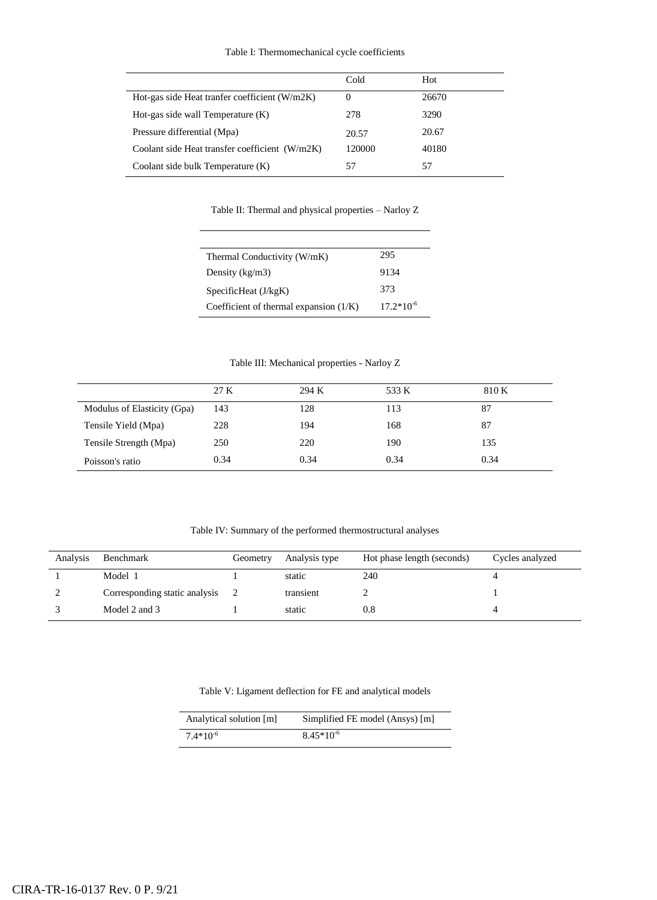#### Table I: Thermomechanical cycle coefficients

|                                                | Cold     | Hot   |
|------------------------------------------------|----------|-------|
| Hot-gas side Heat tranfer coefficient (W/m2K)  | $^{(1)}$ | 26670 |
| Hot-gas side wall Temperature $(K)$            | 278      | 3290  |
| Pressure differential (Mpa)                    | 20.57    | 20.67 |
| Coolant side Heat transfer coefficient (W/m2K) | 120000   | 40180 |
| Coolant side bulk Temperature (K)              | 57       | 57    |

Table II: Thermal and physical properties – Narloy Z

| Thermal Conductivity (W/mK)              | 295            |
|------------------------------------------|----------------|
| Density $(kg/m3)$                        | 9134           |
| SpecificHeat $(J/kgK)$                   | 373            |
| Coefficient of thermal expansion $(1/K)$ | $17.2*10^{-6}$ |

 $\overline{\phantom{0}}$ 

Table III: Mechanical properties - Narloy Z

|                             | 27 K | 294 K | 533 K | 810 K |
|-----------------------------|------|-------|-------|-------|
| Modulus of Elasticity (Gpa) | 143  | 128   | 113   | 87    |
| Tensile Yield (Mpa)         | 228  | 194   | 168   | 87    |
| Tensile Strength (Mpa)      | 250  | 220   | 190   | 135   |
| Poisson's ratio             | 0.34 | 0.34  | 0.34  | 0.34  |

Table IV: Summary of the performed thermostructural analyses

| Analysis | Benchmark                     | Geometry       | Analysis type | Hot phase length (seconds) | Cycles analyzed |
|----------|-------------------------------|----------------|---------------|----------------------------|-----------------|
|          | Model 1                       |                | static        | 240                        |                 |
|          | Corresponding static analysis | $\overline{2}$ | transient     |                            |                 |
|          | Model 2 and 3                 |                | static        | 0.8                        |                 |

Table V: Ligament deflection for FE and analytical models

| Analytical solution [m] | Simplified FE model (Ansys) [m] |
|-------------------------|---------------------------------|
| $7.4*10^{-6}$           | $8.45*10^{-6}$                  |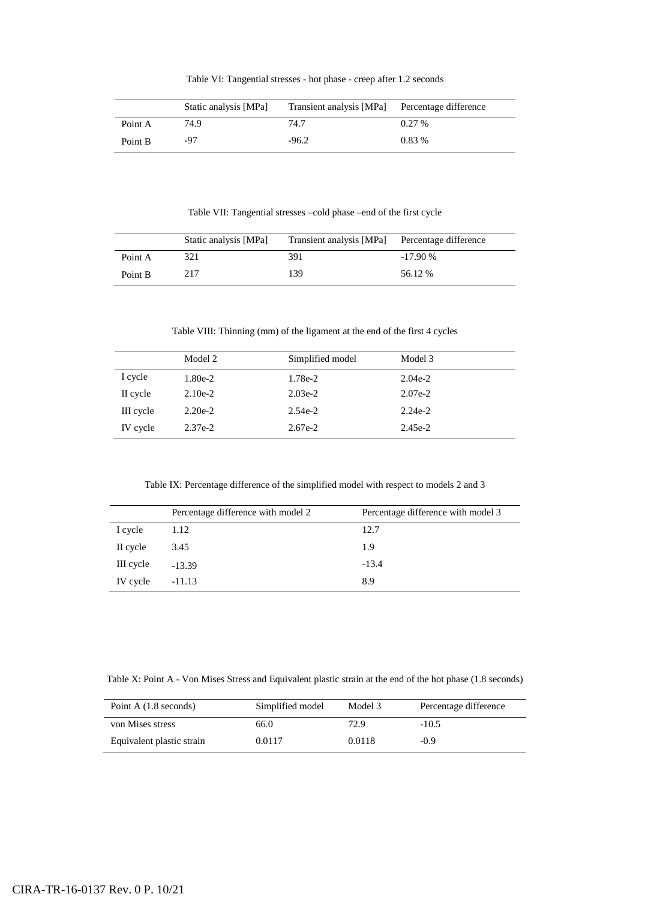Table VI: Tangential stresses - hot phase - creep after 1.2 seconds

|         | Static analysis [MPa] | Transient analysis [MPa] | Percentage difference |
|---------|-----------------------|--------------------------|-----------------------|
| Point A | 74.9                  | 74.7                     | 0.27%                 |
| Point B | -97                   | $-96.2$                  | $0.83\%$              |

Table VII: Tangential stresses –cold phase –end of the first cycle

|         | Static analysis [MPa] | Transient analysis [MPa] Percentage difference |           |
|---------|-----------------------|------------------------------------------------|-----------|
| Point A | 321                   | 391                                            | $-17.90%$ |
| Point B | 217                   | 139                                            | 56.12 %   |

Table VIII: Thinning (mm) of the ligament at the end of the first 4 cycles

|           | Model 2   | Simplified model | Model 3   |
|-----------|-----------|------------------|-----------|
| I cycle   | 1.80e-2   | 1.78e-2          | $2.04e-2$ |
| II cycle  | $2.10e-2$ | $2.03e-2$        | $2.07e-2$ |
| III cycle | $2.20e-2$ | $2.54e-2$        | $2.24e-2$ |
| IV cycle  | $2.37e-2$ | $2.67e-2$        | $2.45e-2$ |

Table IX: Percentage difference of the simplified model with respect to models 2 and 3

|           | Percentage difference with model 2 | Percentage difference with model 3 |
|-----------|------------------------------------|------------------------------------|
| I cycle   | 1.12                               | 12.7                               |
| II cycle  | 3.45                               | 1.9                                |
| III cycle | $-13.39$                           | $-13.4$                            |
| IV cycle  | $-11.13$                           | 8.9                                |

Table X: Point A - Von Mises Stress and Equivalent plastic strain at the end of the hot phase (1.8 seconds)

| Point A $(1.8$ seconds)   | Simplified model | Model 3 | Percentage difference |
|---------------------------|------------------|---------|-----------------------|
| von Mises stress          | 66.0             | 72.9    | $-10.5$               |
| Equivalent plastic strain | 0.0117           | 0.0118  | $-0.9$                |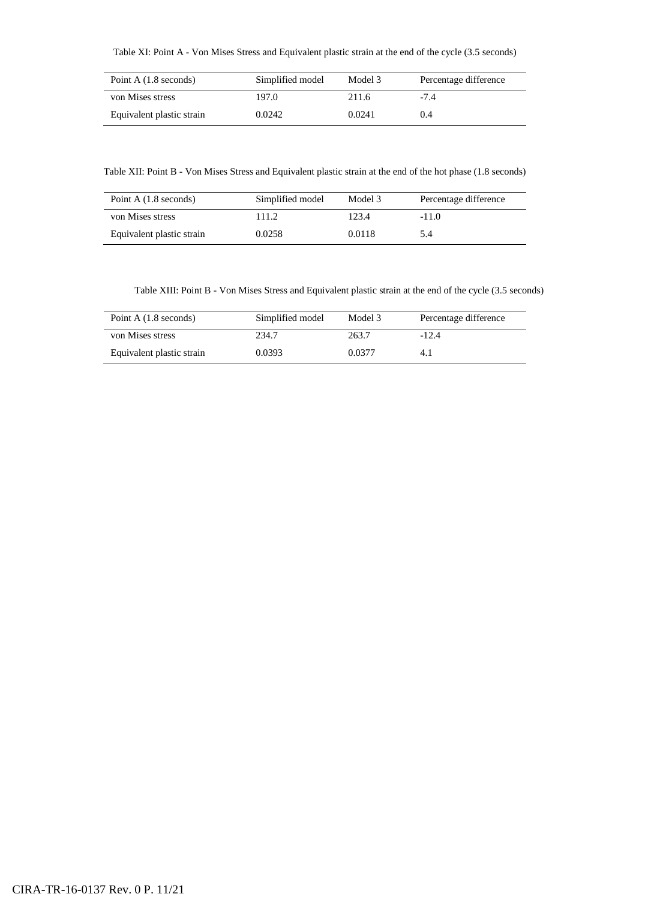Table XI: Point A - Von Mises Stress and Equivalent plastic strain at the end of the cycle (3.5 seconds)

| Point A $(1.8$ seconds)   | Simplified model | Model 3 | Percentage difference |
|---------------------------|------------------|---------|-----------------------|
| von Mises stress          | 197.0            | 211.6   | -7.4                  |
| Equivalent plastic strain | 0.0242           | 0.0241  | 0.4                   |

Table XII: Point B - Von Mises Stress and Equivalent plastic strain at the end of the hot phase (1.8 seconds)

| Point A $(1.8$ seconds)   | Simplified model | Model 3 | Percentage difference |
|---------------------------|------------------|---------|-----------------------|
| von Mises stress          | 111.2            | 123.4   | $-11.0$               |
| Equivalent plastic strain | 0.0258           | 0.0118  | 5.4                   |

Table XIII: Point B - Von Mises Stress and Equivalent plastic strain at the end of the cycle (3.5 seconds)

| Point A $(1.8$ seconds)   | Simplified model | Model 3 | Percentage difference |
|---------------------------|------------------|---------|-----------------------|
| von Mises stress          | 234.7            | 263.7   | $-12.4$               |
| Equivalent plastic strain | 0.0393           | 0.0377  | 4. I                  |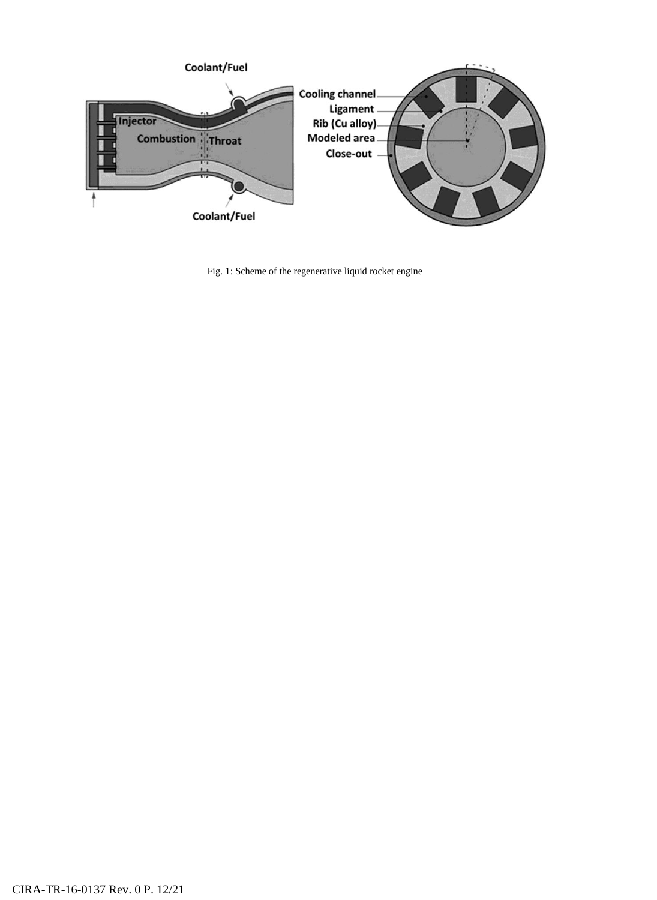

Fig. 1: Scheme of the regenerative liquid rocket engine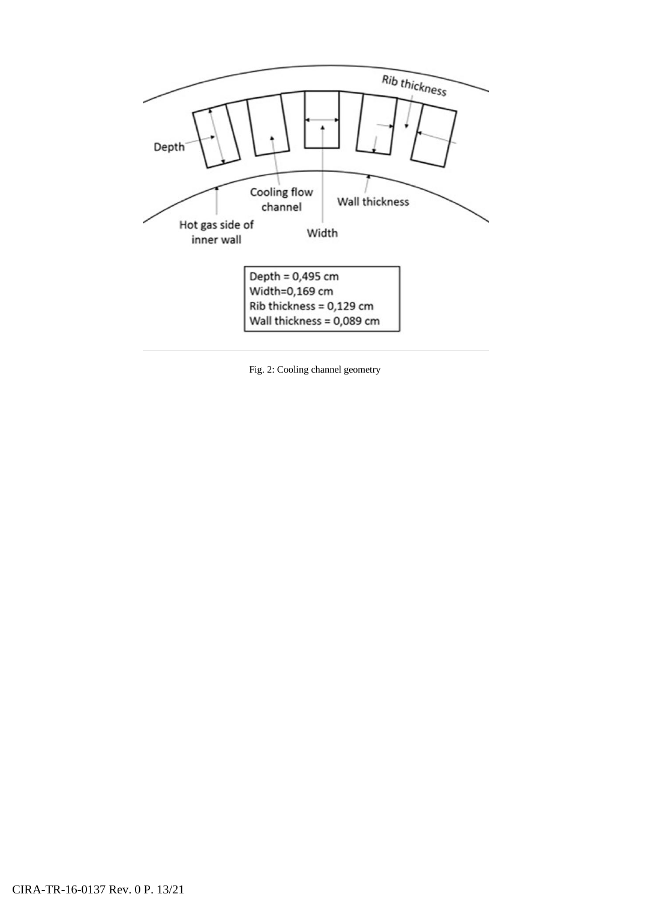

Fig. 2: Cooling channel geometry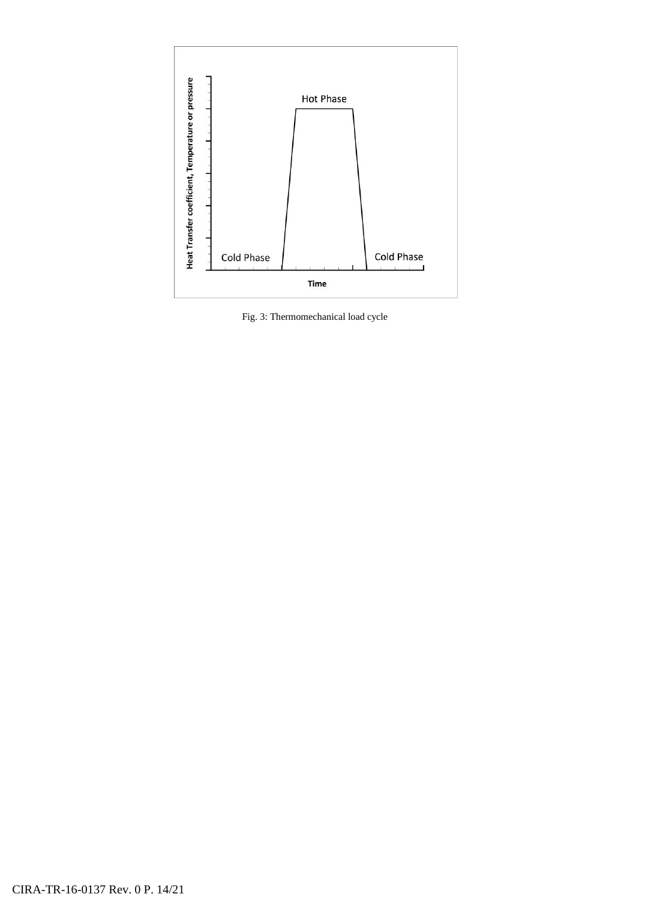

Fig. 3: Thermomechanical load cycle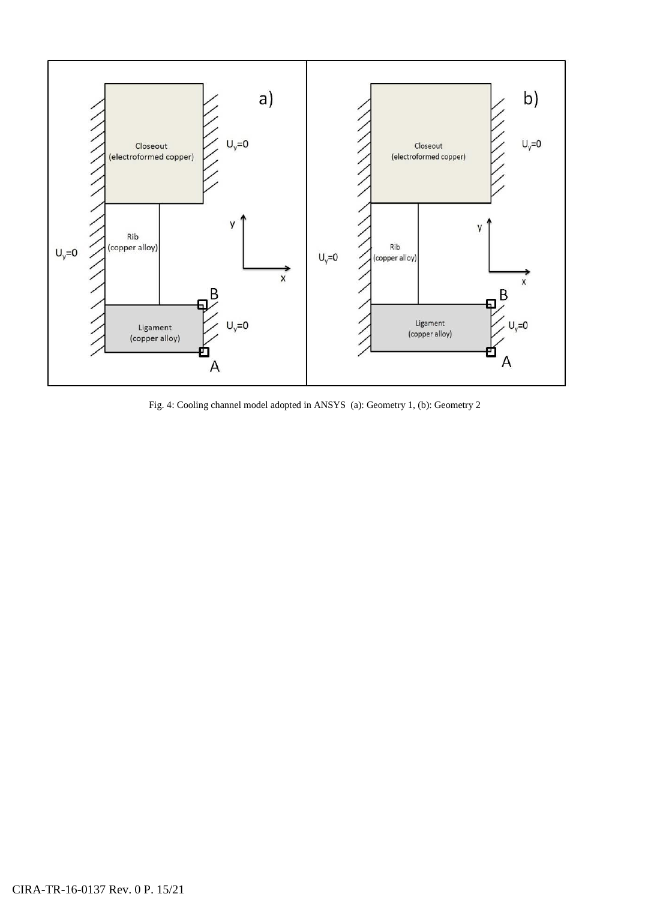

Fig. 4: Cooling channel model adopted in ANSYS (a): Geometry 1, (b): Geometry 2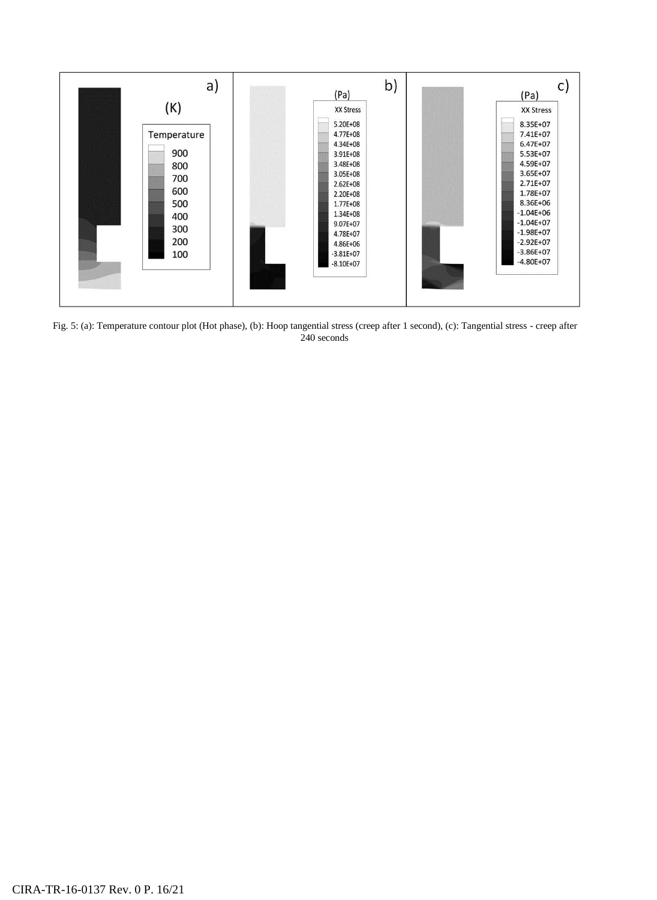

Fig. 5: (a): Temperature contour plot (Hot phase), (b): Hoop tangential stress (creep after 1 second), (c): Tangential stress - creep after 240 seconds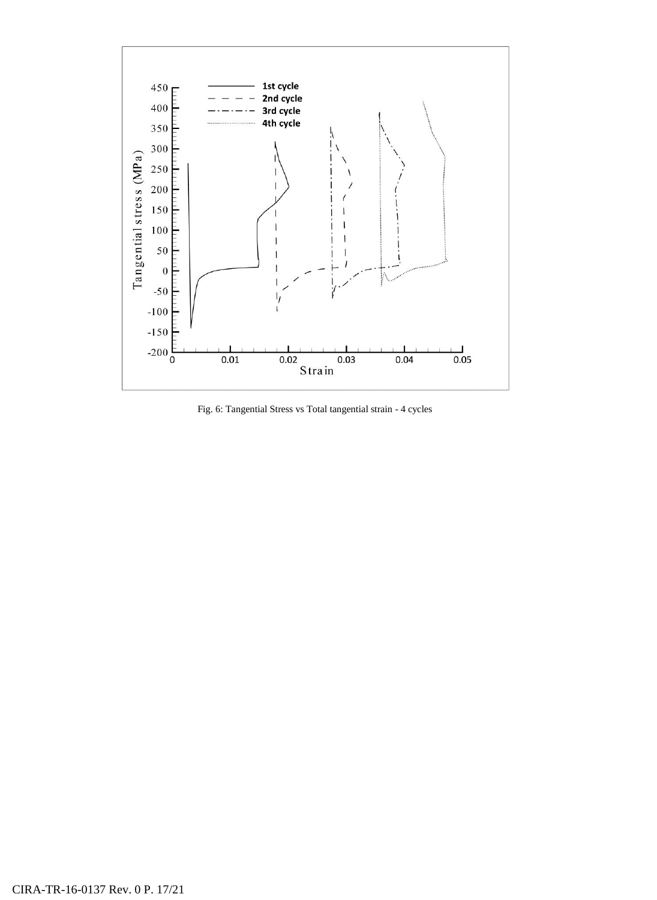

Fig. 6: Tangential Stress vs Total tangential strain - 4 cycles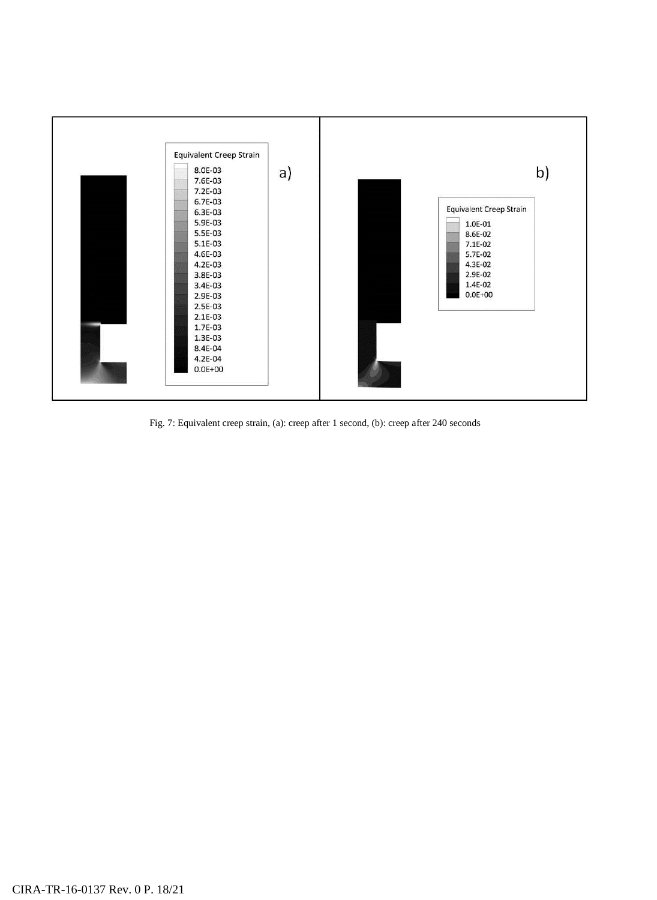

Fig. 7: Equivalent creep strain, (a): creep after 1 second, (b): creep after 240 seconds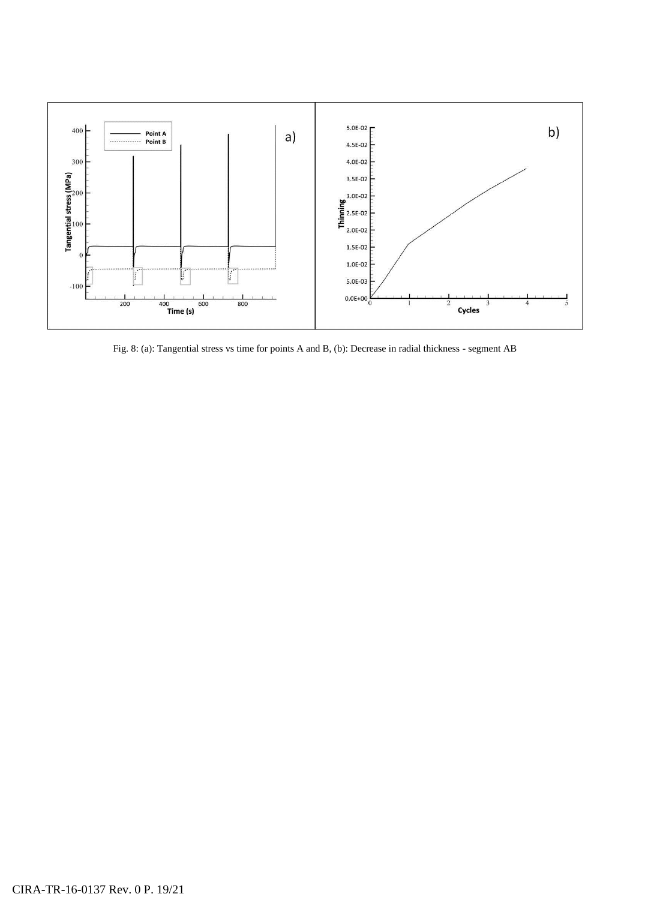

Fig. 8: (a): Tangential stress vs time for points A and B, (b): Decrease in radial thickness - segment AB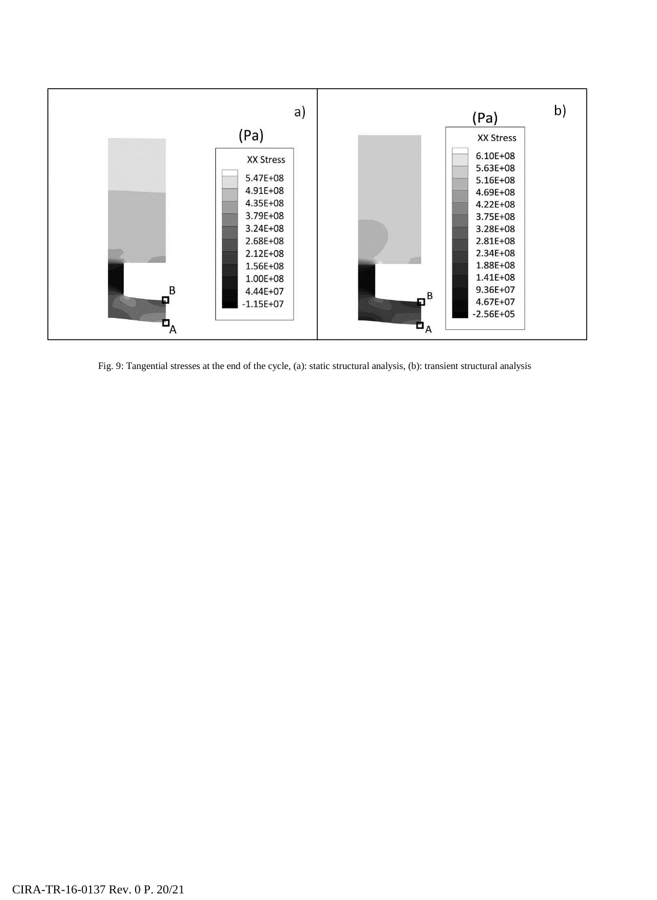

Fig. 9: Tangential stresses at the end of the cycle, (a): static structural analysis, (b): transient structural analysis